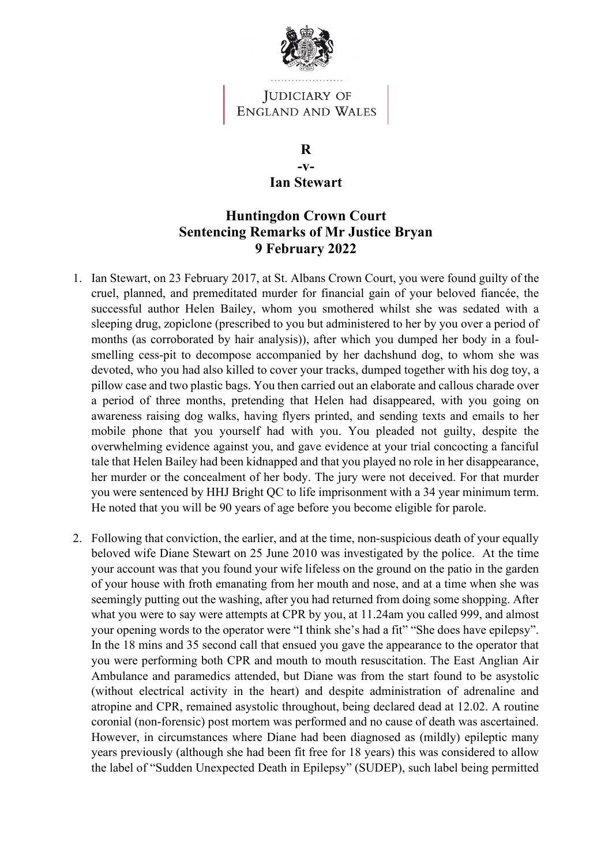

## JUDICIARY OF **ENGLAND AND WALES**

**R -v-Ian Stewart**

## **Huntingdon Crown Court Sentencing Remarks of Mr Justice Bryan 9 February 2022**

- 1. Ian Stewart, on 23 February 2017, at St. Albans Crown Court, you were found guilty of the cruel, planned, and premeditated murder for financial gain of your beloved fiancée, the successful author Helen Bailey, whom you smothered whilst she was sedated with a sleeping drug, zopiclone (prescribed to you but administered to her by you over a period of months (as corroborated by hair analysis)), after which you dumped her body in a foulsmelling cess-pit to decompose accompanied by her dachshund dog, to whom she was devoted, who you had also killed to cover your tracks, dumped together with his dog toy, a pillow case and two plastic bags. You then carried out an elaborate and callous charade over a period of three months, pretending that Helen had disappeared, with you going on awareness raising dog walks, having flyers printed, and sending texts and emails to her mobile phone that you yourself had with you. You pleaded not guilty, despite the overwhelming evidence against you, and gave evidence at your trial concocting a fanciful tale that Helen Bailey had been kidnapped and that you played no role in her disappearance, her murder or the concealment of her body. The jury were not deceived. For that murder you were sentenced by HHJ Bright QC to life imprisonment with a 34 year minimum term. He noted that you will be 90 years of age before you become eligible for parole.
- 2. Following that conviction, the earlier, and at the time, non-suspicious death of your equally beloved wife Diane Stewart on 25 June 2010 was investigated by the police. At the time your account was that you found your wife lifeless on the ground on the patio in the garden of your house with froth emanating from her mouth and nose, and at a time when she was seemingly putting out the washing, after you had returned from doing some shopping. After what you were to say were attempts at CPR by you, at 11.24am you called 999, and almost your opening words to the operator were "I think she's had a fit" "She does have epilepsy". In the 18 mins and 35 second call that ensued you gave the appearance to the operator that you were performing both CPR and mouth to mouth resuscitation. The East Anglian Air Ambulance and paramedics attended, but Diane was from the start found to be asystolic (without electrical activity in the heart) and despite administration of adrenaline and atropine and CPR, remained asystolic throughout, being declared dead at 12.02. A routine coronial (non-forensic) post mortem was performed and no cause of death was ascertained. However, in circumstances where Diane had been diagnosed as (mildly) epileptic many years previously (although she had been fit free for 18 years) this was considered to allow the label of "Sudden Unexpected Death in Epilepsy" (SUDEP), such label being permitted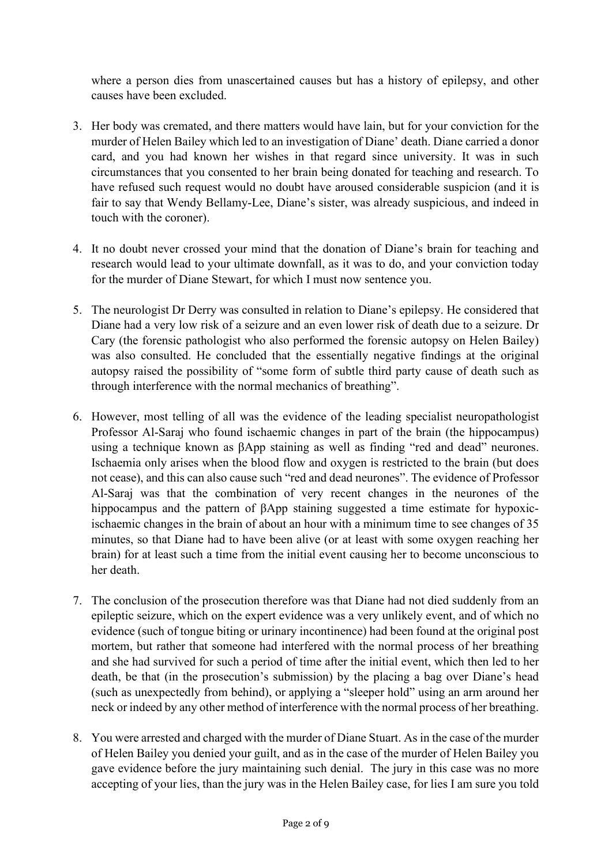where a person dies from unascertained causes but has a history of epilepsy, and other causes have been excluded.

- 3. Her body was cremated, and there matters would have lain, but for your conviction for the murder of Helen Bailey which led to an investigation of Diane' death. Diane carried a donor card, and you had known her wishes in that regard since university. It was in such circumstances that you consented to her brain being donated for teaching and research. To have refused such request would no doubt have aroused considerable suspicion (and it is fair to say that Wendy Bellamy-Lee, Diane's sister, was already suspicious, and indeed in touch with the coroner).
- 4. It no doubt never crossed your mind that the donation of Diane's brain for teaching and research would lead to your ultimate downfall, as it was to do, and your conviction today for the murder of Diane Stewart, for which I must now sentence you.
- 5. The neurologist Dr Derry was consulted in relation to Diane's epilepsy. He considered that Diane had a very low risk of a seizure and an even lower risk of death due to a seizure. Dr Cary (the forensic pathologist who also performed the forensic autopsy on Helen Bailey) was also consulted. He concluded that the essentially negative findings at the original autopsy raised the possibility of "some form of subtle third party cause of death such as through interference with the normal mechanics of breathing".
- 6. However, most telling of all was the evidence of the leading specialist neuropathologist Professor Al-Saraj who found ischaemic changes in part of the brain (the hippocampus) using a technique known as βApp staining as well as finding "red and dead" neurones. Ischaemia only arises when the blood flow and oxygen is restricted to the brain (but does not cease), and this can also cause such "red and dead neurones". The evidence of Professor Al-Saraj was that the combination of very recent changes in the neurones of the hippocampus and the pattern of βApp staining suggested a time estimate for hypoxicischaemic changes in the brain of about an hour with a minimum time to see changes of 35 minutes, so that Diane had to have been alive (or at least with some oxygen reaching her brain) for at least such a time from the initial event causing her to become unconscious to her death.
- 7. The conclusion of the prosecution therefore was that Diane had not died suddenly from an epileptic seizure, which on the expert evidence was a very unlikely event, and of which no evidence (such of tongue biting or urinary incontinence) had been found at the original post mortem, but rather that someone had interfered with the normal process of her breathing and she had survived for such a period of time after the initial event, which then led to her death, be that (in the prosecution's submission) by the placing a bag over Diane's head (such as unexpectedly from behind), or applying a "sleeper hold" using an arm around her neck or indeed by any other method of interference with the normal process of her breathing.
- 8. You were arrested and charged with the murder of Diane Stuart. As in the case of the murder of Helen Bailey you denied your guilt, and as in the case of the murder of Helen Bailey you gave evidence before the jury maintaining such denial. The jury in this case was no more accepting of your lies, than the jury was in the Helen Bailey case, for lies I am sure you told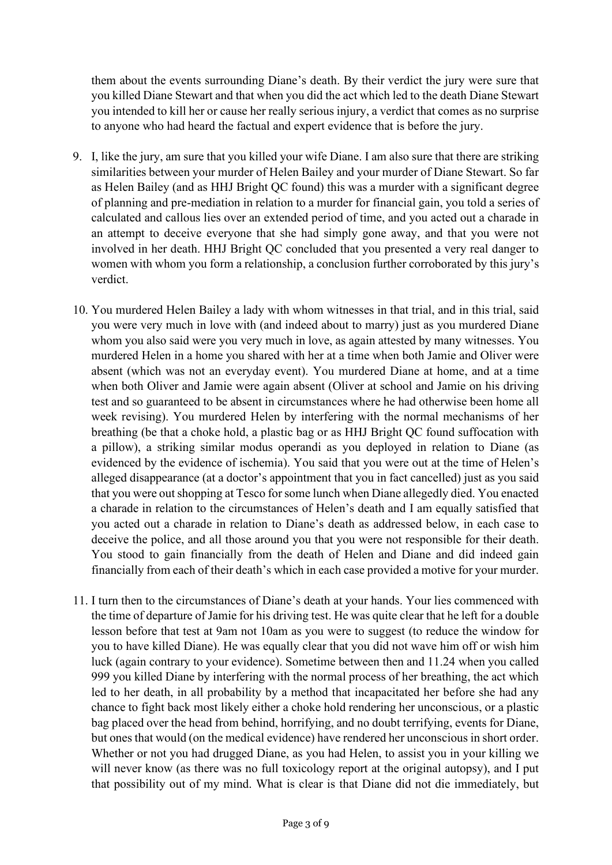them about the events surrounding Diane's death. By their verdict the jury were sure that you killed Diane Stewart and that when you did the act which led to the death Diane Stewart you intended to kill her or cause her really serious injury, a verdict that comes as no surprise to anyone who had heard the factual and expert evidence that is before the jury.

- 9. I, like the jury, am sure that you killed your wife Diane. I am also sure that there are striking similarities between your murder of Helen Bailey and your murder of Diane Stewart. So far as Helen Bailey (and as HHJ Bright QC found) this was a murder with a significant degree of planning and pre-mediation in relation to a murder for financial gain, you told a series of calculated and callous lies over an extended period of time, and you acted out a charade in an attempt to deceive everyone that she had simply gone away, and that you were not involved in her death. HHJ Bright QC concluded that you presented a very real danger to women with whom you form a relationship, a conclusion further corroborated by this jury's verdict.
- 10. You murdered Helen Bailey a lady with whom witnesses in that trial, and in this trial, said you were very much in love with (and indeed about to marry) just as you murdered Diane whom you also said were you very much in love, as again attested by many witnesses. You murdered Helen in a home you shared with her at a time when both Jamie and Oliver were absent (which was not an everyday event). You murdered Diane at home, and at a time when both Oliver and Jamie were again absent (Oliver at school and Jamie on his driving test and so guaranteed to be absent in circumstances where he had otherwise been home all week revising). You murdered Helen by interfering with the normal mechanisms of her breathing (be that a choke hold, a plastic bag or as HHJ Bright QC found suffocation with a pillow), a striking similar modus operandi as you deployed in relation to Diane (as evidenced by the evidence of ischemia). You said that you were out at the time of Helen's alleged disappearance (at a doctor's appointment that you in fact cancelled) just as you said that you were out shopping at Tesco for some lunch when Diane allegedly died. You enacted a charade in relation to the circumstances of Helen's death and I am equally satisfied that you acted out a charade in relation to Diane's death as addressed below, in each case to deceive the police, and all those around you that you were not responsible for their death. You stood to gain financially from the death of Helen and Diane and did indeed gain financially from each of their death's which in each case provided a motive for your murder.
- 11. I turn then to the circumstances of Diane's death at your hands. Your lies commenced with the time of departure of Jamie for his driving test. He was quite clear that he left for a double lesson before that test at 9am not 10am as you were to suggest (to reduce the window for you to have killed Diane). He was equally clear that you did not wave him off or wish him luck (again contrary to your evidence). Sometime between then and 11.24 when you called 999 you killed Diane by interfering with the normal process of her breathing, the act which led to her death, in all probability by a method that incapacitated her before she had any chance to fight back most likely either a choke hold rendering her unconscious, or a plastic bag placed over the head from behind, horrifying, and no doubt terrifying, events for Diane, but ones that would (on the medical evidence) have rendered her unconscious in short order. Whether or not you had drugged Diane, as you had Helen, to assist you in your killing we will never know (as there was no full toxicology report at the original autopsy), and I put that possibility out of my mind. What is clear is that Diane did not die immediately, but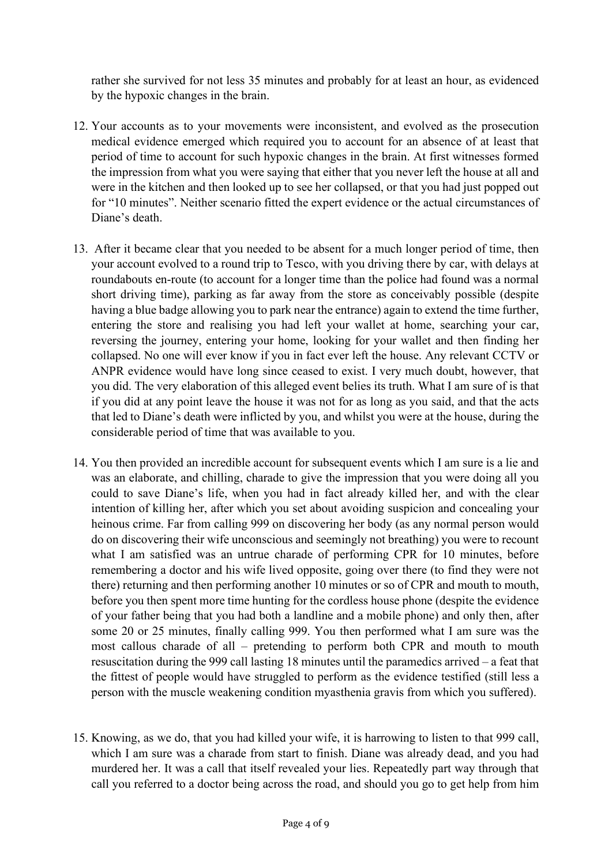rather she survived for not less 35 minutes and probably for at least an hour, as evidenced by the hypoxic changes in the brain.

- 12. Your accounts as to your movements were inconsistent, and evolved as the prosecution medical evidence emerged which required you to account for an absence of at least that period of time to account for such hypoxic changes in the brain. At first witnesses formed the impression from what you were saying that either that you never left the house at all and were in the kitchen and then looked up to see her collapsed, or that you had just popped out for "10 minutes". Neither scenario fitted the expert evidence or the actual circumstances of Diane's death.
- 13. After it became clear that you needed to be absent for a much longer period of time, then your account evolved to a round trip to Tesco, with you driving there by car, with delays at roundabouts en-route (to account for a longer time than the police had found was a normal short driving time), parking as far away from the store as conceivably possible (despite having a blue badge allowing you to park near the entrance) again to extend the time further, entering the store and realising you had left your wallet at home, searching your car, reversing the journey, entering your home, looking for your wallet and then finding her collapsed. No one will ever know if you in fact ever left the house. Any relevant CCTV or ANPR evidence would have long since ceased to exist. I very much doubt, however, that you did. The very elaboration of this alleged event belies its truth. What I am sure of is that if you did at any point leave the house it was not for as long as you said, and that the acts that led to Diane's death were inflicted by you, and whilst you were at the house, during the considerable period of time that was available to you.
- 14. You then provided an incredible account for subsequent events which I am sure is a lie and was an elaborate, and chilling, charade to give the impression that you were doing all you could to save Diane's life, when you had in fact already killed her, and with the clear intention of killing her, after which you set about avoiding suspicion and concealing your heinous crime. Far from calling 999 on discovering her body (as any normal person would do on discovering their wife unconscious and seemingly not breathing) you were to recount what I am satisfied was an untrue charade of performing CPR for 10 minutes, before remembering a doctor and his wife lived opposite, going over there (to find they were not there) returning and then performing another 10 minutes or so of CPR and mouth to mouth, before you then spent more time hunting for the cordless house phone (despite the evidence of your father being that you had both a landline and a mobile phone) and only then, after some 20 or 25 minutes, finally calling 999. You then performed what I am sure was the most callous charade of all – pretending to perform both CPR and mouth to mouth resuscitation during the 999 call lasting 18 minutes until the paramedics arrived – a feat that the fittest of people would have struggled to perform as the evidence testified (still less a person with the muscle weakening condition myasthenia gravis from which you suffered).
- 15. Knowing, as we do, that you had killed your wife, it is harrowing to listen to that 999 call, which I am sure was a charade from start to finish. Diane was already dead, and you had murdered her. It was a call that itself revealed your lies. Repeatedly part way through that call you referred to a doctor being across the road, and should you go to get help from him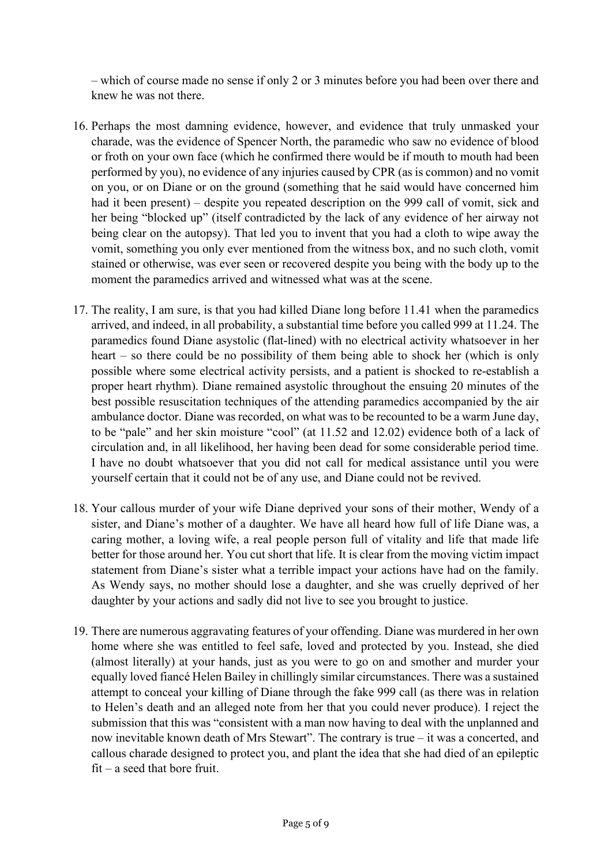– which of course made no sense if only 2 or 3 minutes before you had been over there and knew he was not there.

- 16. Perhaps the most damning evidence, however, and evidence that truly unmasked your charade, was the evidence of Spencer North, the paramedic who saw no evidence of blood or froth on your own face (which he confirmed there would be if mouth to mouth had been performed by you), no evidence of any injuries caused by CPR (as is common) and no vomit on you, or on Diane or on the ground (something that he said would have concerned him had it been present) – despite you repeated description on the 999 call of vomit, sick and her being "blocked up" (itself contradicted by the lack of any evidence of her airway not being clear on the autopsy). That led you to invent that you had a cloth to wipe away the vomit, something you only ever mentioned from the witness box, and no such cloth, vomit stained or otherwise, was ever seen or recovered despite you being with the body up to the moment the paramedics arrived and witnessed what was at the scene.
- 17. The reality, I am sure, is that you had killed Diane long before 11.41 when the paramedics arrived, and indeed, in all probability, a substantial time before you called 999 at 11.24. The paramedics found Diane asystolic (flat-lined) with no electrical activity whatsoever in her heart – so there could be no possibility of them being able to shock her (which is only possible where some electrical activity persists, and a patient is shocked to re-establish a proper heart rhythm). Diane remained asystolic throughout the ensuing 20 minutes of the best possible resuscitation techniques of the attending paramedics accompanied by the air ambulance doctor. Diane was recorded, on what was to be recounted to be a warm June day, to be "pale" and her skin moisture "cool" (at 11.52 and 12.02) evidence both of a lack of circulation and, in all likelihood, her having been dead for some considerable period time. I have no doubt whatsoever that you did not call for medical assistance until you were yourself certain that it could not be of any use, and Diane could not be revived.
- 18. Your callous murder of your wife Diane deprived your sons of their mother, Wendy of a sister, and Diane's mother of a daughter. We have all heard how full of life Diane was, a caring mother, a loving wife, a real people person full of vitality and life that made life better for those around her. You cut short that life. It is clear from the moving victim impact statement from Diane's sister what a terrible impact your actions have had on the family. As Wendy says, no mother should lose a daughter, and she was cruelly deprived of her daughter by your actions and sadly did not live to see you brought to justice.
- 19. There are numerous aggravating features of your offending. Diane was murdered in her own home where she was entitled to feel safe, loved and protected by you. Instead, she died (almost literally) at your hands, just as you were to go on and smother and murder your equally loved fiancé Helen Bailey in chillingly similar circumstances. There was a sustained attempt to conceal your killing of Diane through the fake 999 call (as there was in relation to Helen's death and an alleged note from her that you could never produce). I reject the submission that this was "consistent with a man now having to deal with the unplanned and now inevitable known death of Mrs Stewart". The contrary is true – it was a concerted, and callous charade designed to protect you, and plant the idea that she had died of an epileptic fit – a seed that bore fruit.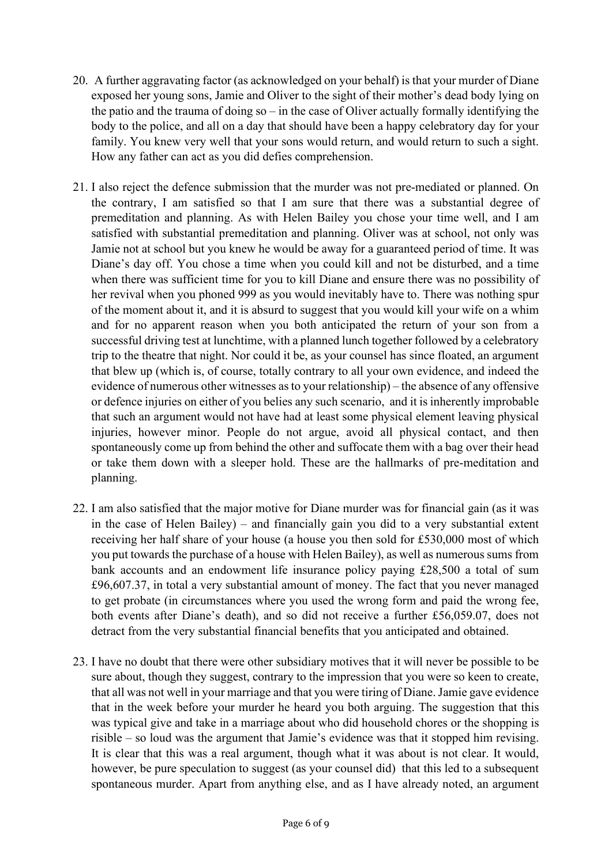- 20. A further aggravating factor (as acknowledged on your behalf) is that your murder of Diane exposed her young sons, Jamie and Oliver to the sight of their mother's dead body lying on the patio and the trauma of doing so – in the case of Oliver actually formally identifying the body to the police, and all on a day that should have been a happy celebratory day for your family. You knew very well that your sons would return, and would return to such a sight. How any father can act as you did defies comprehension.
- 21. I also reject the defence submission that the murder was not pre-mediated or planned. On the contrary, I am satisfied so that I am sure that there was a substantial degree of premeditation and planning. As with Helen Bailey you chose your time well, and I am satisfied with substantial premeditation and planning. Oliver was at school, not only was Jamie not at school but you knew he would be away for a guaranteed period of time. It was Diane's day off. You chose a time when you could kill and not be disturbed, and a time when there was sufficient time for you to kill Diane and ensure there was no possibility of her revival when you phoned 999 as you would inevitably have to. There was nothing spur of the moment about it, and it is absurd to suggest that you would kill your wife on a whim and for no apparent reason when you both anticipated the return of your son from a successful driving test at lunchtime, with a planned lunch together followed by a celebratory trip to the theatre that night. Nor could it be, as your counsel has since floated, an argument that blew up (which is, of course, totally contrary to all your own evidence, and indeed the evidence of numerous other witnesses as to your relationship) – the absence of any offensive or defence injuries on either of you belies any such scenario, and it is inherently improbable that such an argument would not have had at least some physical element leaving physical injuries, however minor. People do not argue, avoid all physical contact, and then spontaneously come up from behind the other and suffocate them with a bag over their head or take them down with a sleeper hold. These are the hallmarks of pre-meditation and planning.
- 22. I am also satisfied that the major motive for Diane murder was for financial gain (as it was in the case of Helen Bailey) – and financially gain you did to a very substantial extent receiving her half share of your house (a house you then sold for £530,000 most of which you put towards the purchase of a house with Helen Bailey), as well as numerous sums from bank accounts and an endowment life insurance policy paying £28,500 a total of sum £96,607.37, in total a very substantial amount of money. The fact that you never managed to get probate (in circumstances where you used the wrong form and paid the wrong fee, both events after Diane's death), and so did not receive a further £56,059.07, does not detract from the very substantial financial benefits that you anticipated and obtained.
- 23. I have no doubt that there were other subsidiary motives that it will never be possible to be sure about, though they suggest, contrary to the impression that you were so keen to create, that all was not well in your marriage and that you were tiring of Diane. Jamie gave evidence that in the week before your murder he heard you both arguing. The suggestion that this was typical give and take in a marriage about who did household chores or the shopping is risible – so loud was the argument that Jamie's evidence was that it stopped him revising. It is clear that this was a real argument, though what it was about is not clear. It would, however, be pure speculation to suggest (as your counsel did) that this led to a subsequent spontaneous murder. Apart from anything else, and as I have already noted, an argument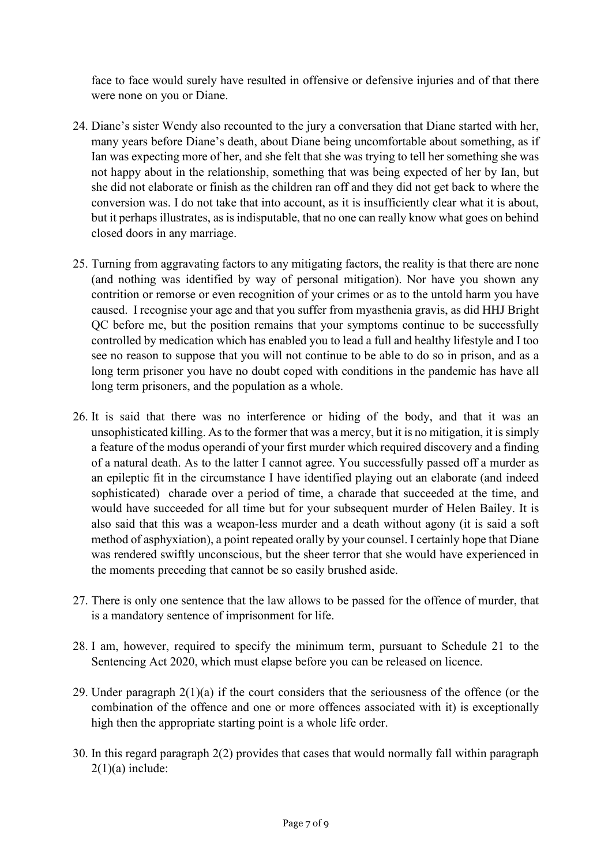face to face would surely have resulted in offensive or defensive injuries and of that there were none on you or Diane.

- 24. Diane's sister Wendy also recounted to the jury a conversation that Diane started with her, many years before Diane's death, about Diane being uncomfortable about something, as if Ian was expecting more of her, and she felt that she was trying to tell her something she was not happy about in the relationship, something that was being expected of her by Ian, but she did not elaborate or finish as the children ran off and they did not get back to where the conversion was. I do not take that into account, as it is insufficiently clear what it is about, but it perhaps illustrates, as is indisputable, that no one can really know what goes on behind closed doors in any marriage.
- 25. Turning from aggravating factors to any mitigating factors, the reality is that there are none (and nothing was identified by way of personal mitigation). Nor have you shown any contrition or remorse or even recognition of your crimes or as to the untold harm you have caused. I recognise your age and that you suffer from myasthenia gravis, as did HHJ Bright QC before me, but the position remains that your symptoms continue to be successfully controlled by medication which has enabled you to lead a full and healthy lifestyle and I too see no reason to suppose that you will not continue to be able to do so in prison, and as a long term prisoner you have no doubt coped with conditions in the pandemic has have all long term prisoners, and the population as a whole.
- 26. It is said that there was no interference or hiding of the body, and that it was an unsophisticated killing. As to the former that was a mercy, but it is no mitigation, it is simply a feature of the modus operandi of your first murder which required discovery and a finding of a natural death. As to the latter I cannot agree. You successfully passed off a murder as an epileptic fit in the circumstance I have identified playing out an elaborate (and indeed sophisticated) charade over a period of time, a charade that succeeded at the time, and would have succeeded for all time but for your subsequent murder of Helen Bailey. It is also said that this was a weapon-less murder and a death without agony (it is said a soft method of asphyxiation), a point repeated orally by your counsel. I certainly hope that Diane was rendered swiftly unconscious, but the sheer terror that she would have experienced in the moments preceding that cannot be so easily brushed aside.
- 27. There is only one sentence that the law allows to be passed for the offence of murder, that is a mandatory sentence of imprisonment for life.
- 28. I am, however, required to specify the minimum term, pursuant to Schedule 21 to the Sentencing Act 2020, which must elapse before you can be released on licence.
- 29. Under paragraph  $2(1)(a)$  if the court considers that the seriousness of the offence (or the combination of the offence and one or more offences associated with it) is exceptionally high then the appropriate starting point is a whole life order.
- 30. In this regard paragraph 2(2) provides that cases that would normally fall within paragraph  $2(1)(a)$  include: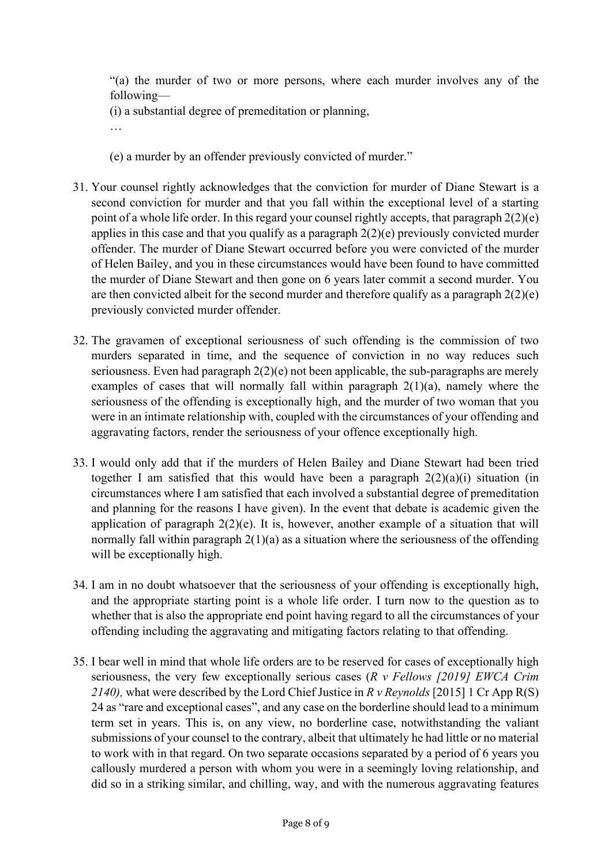"(a) the murder of two or more persons, where each murder involves any of the following—

(i) a substantial degree of premeditation or planning,

- …
- (e) a murder by an offender previously convicted of murder."
- 31. Your counsel rightly acknowledges that the conviction for murder of Diane Stewart is a second conviction for murder and that you fall within the exceptional level of a starting point of a whole life order. In this regard your counsel rightly accepts, that paragraph 2(2)(e) applies in this case and that you qualify as a paragraph  $2(2)(e)$  previously convicted murder offender. The murder of Diane Stewart occurred before you were convicted of the murder of Helen Bailey, and you in these circumstances would have been found to have committed the murder of Diane Stewart and then gone on 6 years later commit a second murder. You are then convicted albeit for the second murder and therefore qualify as a paragraph  $2(2)(e)$ previously convicted murder offender.
- 32. The gravamen of exceptional seriousness of such offending is the commission of two murders separated in time, and the sequence of conviction in no way reduces such seriousness. Even had paragraph  $2(2)(e)$  not been applicable, the sub-paragraphs are merely examples of cases that will normally fall within paragraph 2(1)(a), namely where the seriousness of the offending is exceptionally high, and the murder of two woman that you were in an intimate relationship with, coupled with the circumstances of your offending and aggravating factors, render the seriousness of your offence exceptionally high.
- 33. I would only add that if the murders of Helen Bailey and Diane Stewart had been tried together I am satisfied that this would have been a paragraph  $2(2)(a)(i)$  situation (in circumstances where I am satisfied that each involved a substantial degree of premeditation and planning for the reasons I have given). In the event that debate is academic given the application of paragraph  $2(2)(e)$ . It is, however, another example of a situation that will normally fall within paragraph  $2(1)(a)$  as a situation where the seriousness of the offending will be exceptionally high.
- 34. I am in no doubt whatsoever that the seriousness of your offending is exceptionally high, and the appropriate starting point is a whole life order. I turn now to the question as to whether that is also the appropriate end point having regard to all the circumstances of your offending including the aggravating and mitigating factors relating to that offending.
- 35. I bear well in mind that whole life orders are to be reserved for cases of exceptionally high seriousness, the very few exceptionally serious cases (*R v Fellows [2019] EWCA Crim 2140),* what were described by the Lord Chief Justice in *R v Reynolds* [2015] 1 Cr App R(S) 24 as "rare and exceptional cases", and any case on the borderline should lead to a minimum term set in years. This is, on any view, no borderline case, notwithstanding the valiant submissions of your counsel to the contrary, albeit that ultimately he had little or no material to work with in that regard. On two separate occasions separated by a period of 6 years you callously murdered a person with whom you were in a seemingly loving relationship, and did so in a striking similar, and chilling, way, and with the numerous aggravating features